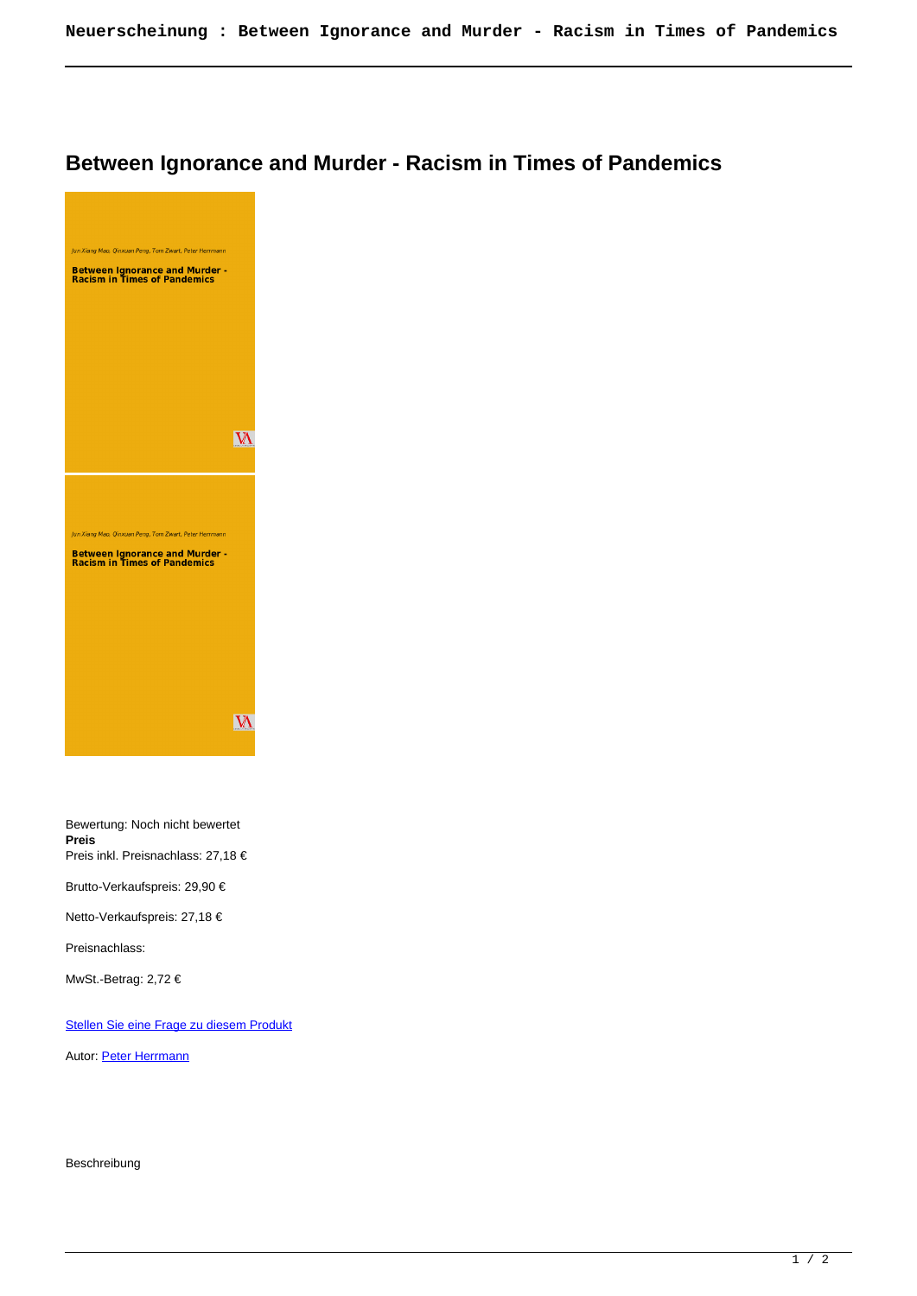## **Between Ignorance and Murder - Racism in Times of Pandemics**



Bewertung: Noch nicht bewertet **Preis** Preis inkl. Preisnachlass: 27,18 €

Brutto-Verkaufspreis: 29,90 €

Netto-Verkaufspreis: 27,18 €

Preisnachlass:

MwSt.-Betrag: 2,72 €

[Stellen Sie eine Frage zu diesem Produkt](https://www.viennaacademicpress.at/index.php?option=com_virtuemart&view=productdetails&task=askquestion&virtuemart_product_id=2467&virtuemart_category_id=1&tmpl=component)

Autor: [Peter Herrmann](https://www.viennaacademicpress.at/index.php?option=com_virtuemart&view=manufacturer&virtuemart_manufacturer_id=498&tmpl=component)

Beschreibung